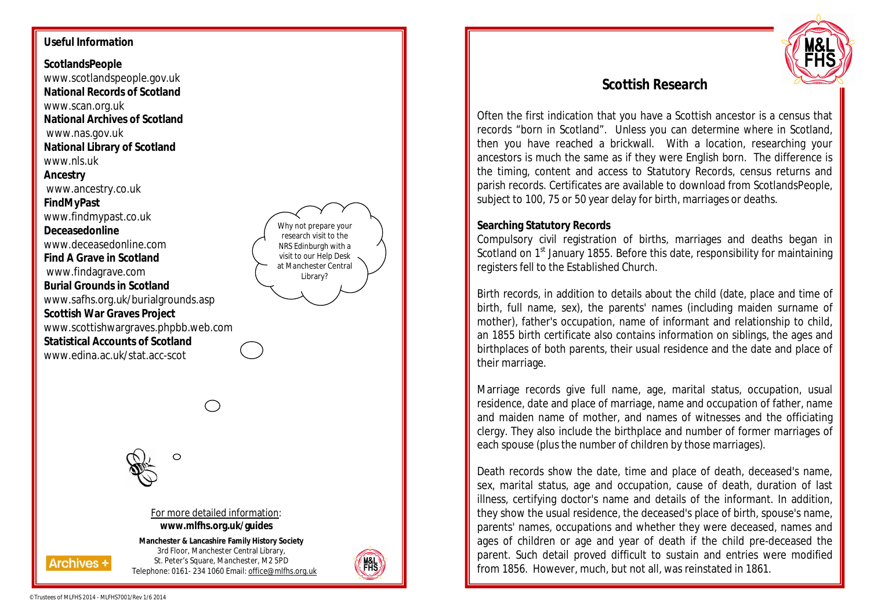### **Useful Information**

**ScotlandsPeople** www.scotlandspeople.gov.uk **National Records of Scotland**  www.scan.org.uk **National Archives of Scotland**  www.nas.gov.uk **National Library of Scotland**  www.nls.uk **Ancestry**  www.ancestry.co.uk **FindMyPast**  www.findmypast.co.uk **Deceasedonline**  www.deceasedonline.com **Find A Grave in Scotland**  www.findagrave.com **Burial Grounds in Scotland** www.safhs.org.uk/burialgrounds.asp **Scottish War Graves Project**  www.scottishwargraves.phpbb.web.com **Statistical Accounts of Scotland**  www.edina.ac.uk/stat.acc-scot

Why not prepare your research visit to the NRS Edinburgh with a visit to our Help Desk at Manchester Central Library?

 $\circ$ 

#### For more detailed information: **www.mlfhs.org.uk/guides**

**Manchester & Lancashire Family History Society** 3rd Floor, Manchester Central Library, St. Peter's Square, Manchester, M2 5PD Telephone: 0161- 234 1060 Email: office@mlfhs.org.uk





# **Scottish Research**

Often the first indication that you have a Scottish ancestor is a census that records "born in Scotland". Unless you can determine where in Scotland, then you have reached a brickwall. With a location, researching your ancestors is much the same as if they were English born. The difference is the timing, content and access to Statutory Records, census returns and parish records. Certificates are available to download from ScotlandsPeople, subject to 100, 75 or 50 year delay for birth, marriages or deaths.

## **Searching Statutory Records**

Compulsory civil registration of births, marriages and deaths began in Scotland on 1<sup>st</sup> January 1855. Before this date, responsibility for maintaining registers fell to the Established Church.

Birth records, in addition to details about the child (date, place and time of birth, full name, sex), the parents' names (including maiden surname of mother), father's occupation, name of informant and relationship to child, an 1855 birth certificate also contains information on siblings, the ages and birthplaces of both parents, their usual residence and the date and place of their marriage.

Marriage records give full name, age, marital status, occupation, usual residence, date and place of marriage, name and occupation of father, name and maiden name of mother, and names of witnesses and the officiating clergy. They also include the birthplace and number of former marriages of each spouse (plus the number of children by those marriages).

Death records show the date, time and place of death, deceased's name, sex, marital status, age and occupation, cause of death, duration of last illness, certifying doctor's name and details of the informant. In addition, they show the usual residence, the deceased's place of birth, spouse's name, parents' names, occupations and whether they were deceased, names and ages of children or age and year of death if the child pre-deceased the parent. Such detail proved difficult to sustain and entries were modified from 1856. However, much, but not all, was reinstated in 1861.

**Archives +**